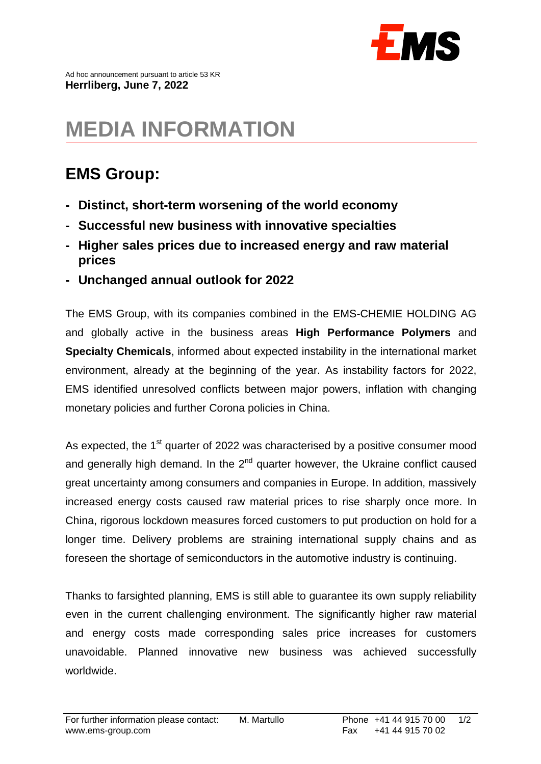

## **MEDIA INFORMATION**

## **EMS Group:**

- **- Distinct, short-term worsening of the world economy**
- **- Successful new business with innovative specialties**
- **- Higher sales prices due to increased energy and raw material prices**
- **- Unchanged annual outlook for 2022**

The EMS Group, with its companies combined in the EMS-CHEMIE HOLDING AG and globally active in the business areas **High Performance Polymers** and **Specialty Chemicals**, informed about expected instability in the international market environment, already at the beginning of the year. As instability factors for 2022, EMS identified unresolved conflicts between major powers, inflation with changing monetary policies and further Corona policies in China.

As expected, the  $1<sup>st</sup>$  quarter of 2022 was characterised by a positive consumer mood and generally high demand. In the  $2<sup>nd</sup>$  quarter however, the Ukraine conflict caused great uncertainty among consumers and companies in Europe. In addition, massively increased energy costs caused raw material prices to rise sharply once more. In China, rigorous lockdown measures forced customers to put production on hold for a longer time. Delivery problems are straining international supply chains and as foreseen the shortage of semiconductors in the automotive industry is continuing.

Thanks to farsighted planning, EMS is still able to guarantee its own supply reliability even in the current challenging environment. The significantly higher raw material and energy costs made corresponding sales price increases for customers unavoidable. Planned innovative new business was achieved successfully worldwide.